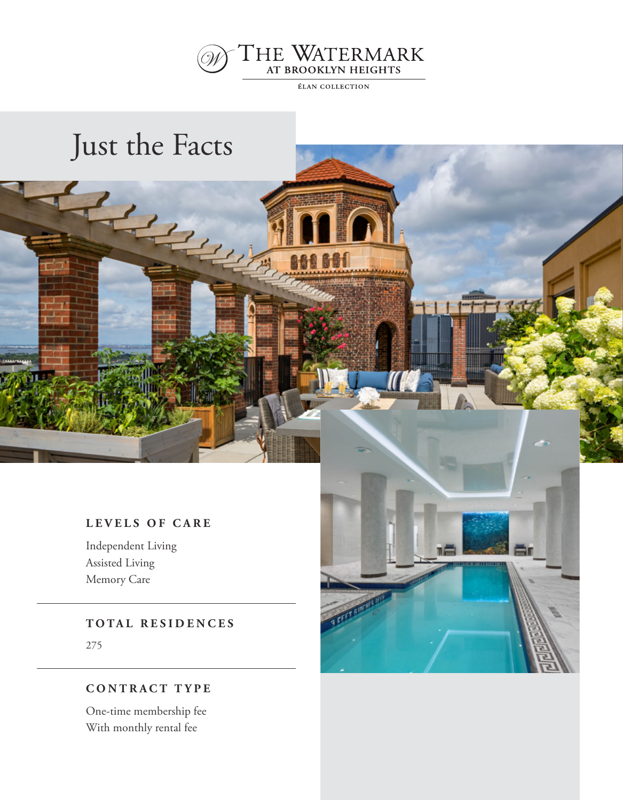

**ÉLAN COLLECTION** 

868661

## Just the Facts

#### **LEVELS OF CARE**

Independent Living Assisted Living Memory Care

**TOTAL RESIDENCES**

275

#### **CONTRACT TYPE**

One-time membership fee With monthly rental fee

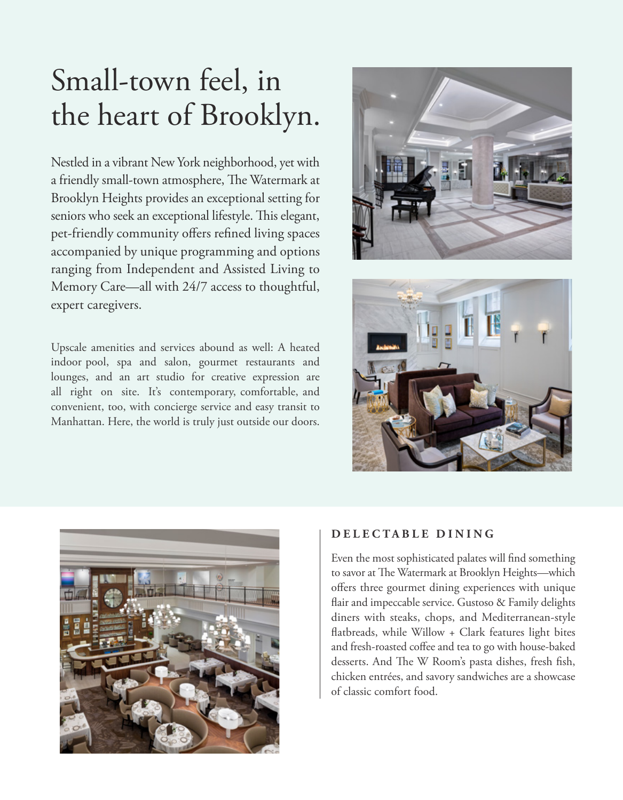# Small-town feel, in the heart of Brooklyn.

Nestled in a vibrant New York neighborhood, yet with a friendly small-town atmosphere, The Watermark at Brooklyn Heights provides an exceptional setting for seniors who seek an exceptional lifestyle. This elegant, pet-friendly community offers refined living spaces accompanied by unique programming and options ranging from Independent and Assisted Living to Memory Care—all with 24/7 access to thoughtful, expert caregivers.

Upscale amenities and services abound as well: A heated indoor pool, spa and salon, gourmet restaurants and lounges, and an art studio for creative expression are all right on site. It's contemporary, comfortable, and convenient, too, with concierge service and easy transit to Manhattan. Here, the world is truly just outside our doors.







#### **D E L E C T A B L E D I N I N G**

Even the most sophisticated palates will find something to savor at The Watermark at Brooklyn Heights—which offers three gourmet dining experiences with unique flair and impeccable service. Gustoso & Family delights diners with steaks, chops, and Mediterranean-style flatbreads, while Willow + Clark features light bites and fresh-roasted coffee and tea to go with house-baked desserts. And The W Room's pasta dishes, fresh fish, chicken entrées, and savory sandwiches are a showcase of classic comfort food.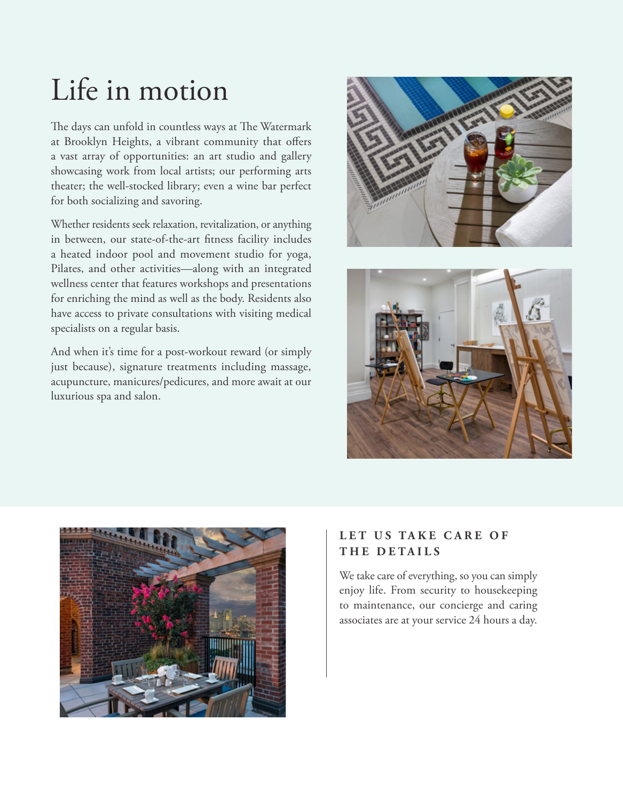# Life in motion

The days can unfold in countless ways at The Watermark at Brooklyn Heights, a vibrant community that offers a vast array of opportunities: an art studio and gallery showcasing work from local artists; our performing arts theater; the well-stocked library; even a wine bar perfect for both socializing and savoring.

Whether residents seek relaxation, revitalization, or anything in between, our state-of-the-art fitness facility includes a heated indoor pool and movement studio for yoga, Pilates, and other activities—along with an integrated wellness center that features workshops and presentations for enriching the mind as well as the body. Residents also have access to private consultations with visiting medical specialists on a regular basis.

And when it's time for a post-workout reward (or simply just because), signature treatments including massage, acupuncture, manicures/pedicures, and more await at our luxurious spa and salon.







#### LET US TAKE CARE OF **THE DETAILS**

We take care of everything, so you can simply enjoy life. From security to housekeeping to maintenance, our concierge and caring associates are at your service 24 hours a day.